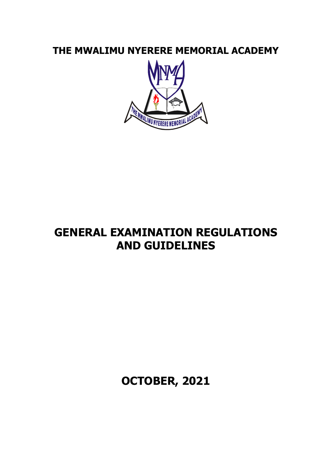**THE MWALIMU NYERERE MEMORIAL ACADEMY**



# **GENERAL EXAMINATION REGULATIONS AND GUIDELINES**

**OCTOBER, 2021**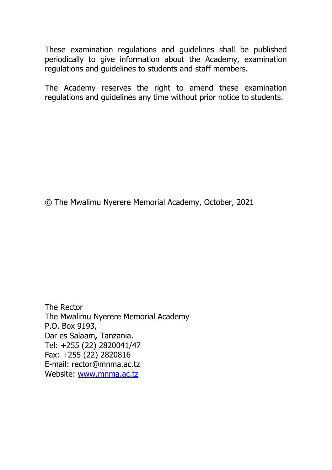These examination regulations and guidelines shall be published periodically to give information about the Academy, examination regulations and guidelines to students and staff members.

The Academy reserves the right to amend these examination regulations and guidelines any time without prior notice to students.

© The Mwalimu Nyerere Memorial Academy, October, 2021

The Rector The Mwalimu Nyerere Memorial Academy P.O. Box 9193, Dar es Salaam**,** Tanzania. Tel: +255 (22) 2820041/47 Fax: +255 (22) 2820816 E-mail: rector@mnma.ac.tz Website: [www.mnma.ac.tz](http://www.mnma.ac.tz/)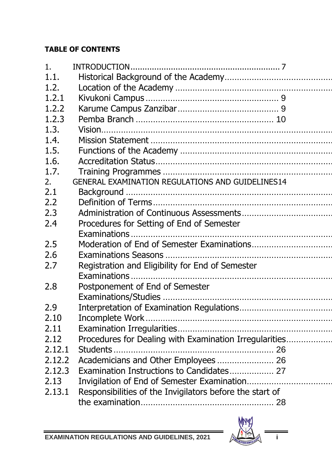# **TABLE OF CONTENTS**

| 1.      |                                                          |  |
|---------|----------------------------------------------------------|--|
| 1.1.    |                                                          |  |
| 1.2.    |                                                          |  |
| 1, 2, 1 |                                                          |  |
| 1.2.2   |                                                          |  |
| 1.2.3   |                                                          |  |
| 1.3.    |                                                          |  |
| 1.4.    |                                                          |  |
| 1.5.    |                                                          |  |
| 1.6.    |                                                          |  |
| 1.7.    |                                                          |  |
| 2.      | GENERAL EXAMINATION REGULATIONS AND GUIDELINES14         |  |
| 2.1     |                                                          |  |
| 2.2     |                                                          |  |
| 2.3     |                                                          |  |
| 2.4     | Procedures for Setting of End of Semester                |  |
|         |                                                          |  |
| 2.5     |                                                          |  |
| 2.6     |                                                          |  |
| 2.7     | Registration and Eligibility for End of Semester         |  |
|         |                                                          |  |
| 2.8     | Postponement of End of Semester                          |  |
|         |                                                          |  |
| 2.9     |                                                          |  |
| 2.10    |                                                          |  |
| 2.11    |                                                          |  |
| 2.12    | Procedures for Dealing with Examination Irregularities   |  |
| 2.12.1  |                                                          |  |
| 2.12.2  | Academicians and Other Employees 26                      |  |
| 2.12.3  | Examination Instructions to Candidates 27                |  |
| 2.13    |                                                          |  |
| 2.13.1  | Responsibilities of the Invigilators before the start of |  |
|         |                                                          |  |
|         |                                                          |  |

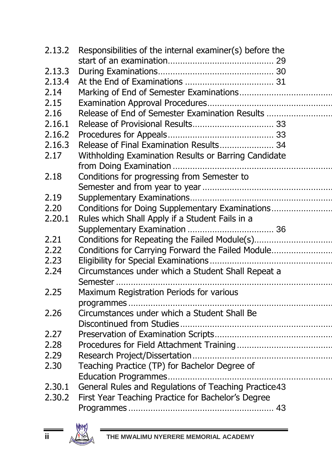| 2.13.2 | Responsibilities of the internal examiner(s) before the |  |
|--------|---------------------------------------------------------|--|
|        |                                                         |  |
| 2.13.3 |                                                         |  |
| 2.13.4 |                                                         |  |
| 2.14   |                                                         |  |
| 2.15   |                                                         |  |
| 2.16   | Release of End of Semester Examination Results          |  |
| 2.16.1 |                                                         |  |
| 2.16.2 |                                                         |  |
| 2.16.3 | Release of Final Examination Results 34                 |  |
| 2.17   | Withholding Examination Results or Barring Candidate    |  |
|        |                                                         |  |
| 2.18   | Conditions for progressing from Semester to             |  |
|        |                                                         |  |
| 2.19   |                                                         |  |
| 2.20   | Conditions for Doing Supplementary Examinations         |  |
| 2.20.1 | Rules which Shall Apply if a Student Fails in a         |  |
|        |                                                         |  |
| 2.21   | Conditions for Repeating the Failed Module(s)           |  |
| 2.22   | Conditions for Carrying Forward the Failed Module       |  |
| 2.23   |                                                         |  |
| 2.24   | Circumstances under which a Student Shall Repeat a      |  |
|        |                                                         |  |
| 2.25   | Maximum Registration Periods for various                |  |
|        |                                                         |  |
| 2.26   | Circumstances under which a Student Shall Be            |  |
|        |                                                         |  |
| 2.27   |                                                         |  |
| 2.28   |                                                         |  |
| 2.29   |                                                         |  |
| 2.30   | Teaching Practice (TP) for Bachelor Degree of           |  |
|        |                                                         |  |
| 2.30.1 | General Rules and Regulations of Teaching Practice43    |  |
| 2.30.2 | First Year Teaching Practice for Bachelor's Degree      |  |
|        |                                                         |  |
|        |                                                         |  |

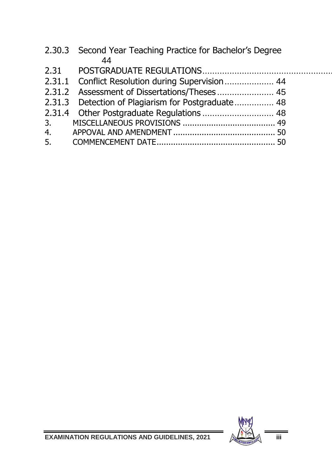|    | 2.30.3 Second Year Teaching Practice for Bachelor's Degree |  |
|----|------------------------------------------------------------|--|
|    | 44                                                         |  |
|    |                                                            |  |
|    | 2.31.1 Conflict Resolution during Supervision 44           |  |
|    | 2.31.2 Assessment of Dissertations/Theses  45              |  |
|    | 2.31.3 Detection of Plagiarism for Postgraduate 48         |  |
|    |                                                            |  |
|    |                                                            |  |
|    |                                                            |  |
| 5. |                                                            |  |
|    |                                                            |  |



 $\overline{a}$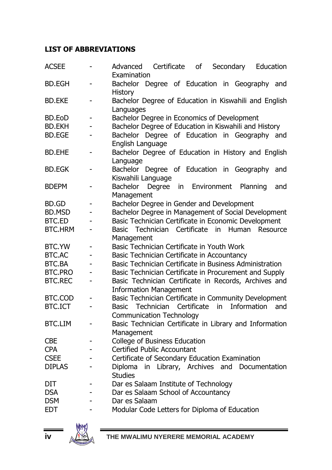#### **LIST OF ABBREVIATIONS**

| <b>ACSEE</b>   |                          | Certificate<br>Education<br>Advanced<br>of<br>Secondary<br>Examination                         |
|----------------|--------------------------|------------------------------------------------------------------------------------------------|
| <b>BD.EGH</b>  | ٠                        | Bachelor Degree of Education in Geography and                                                  |
| <b>BD.EKE</b>  | ÷,                       | History<br>Bachelor Degree of Education in Kiswahili and English                               |
| BD.EoD         |                          | Languages<br>Bachelor Degree in Economics of Development                                       |
| <b>BD.EKH</b>  | ÷,                       | Bachelor Degree of Education in Kiswahili and History                                          |
| <b>BD.EGE</b>  | $\overline{\phantom{0}}$ | Bachelor Degree of Education in Geography and                                                  |
|                |                          | English Language                                                                               |
| <b>BD.EHE</b>  | $\overline{\phantom{0}}$ | Bachelor Degree of Education in History and English<br>Language                                |
| <b>BD.EGK</b>  | ٠                        | Bachelor Degree of Education in Geography<br>and                                               |
| <b>BDEPM</b>   | ٠                        | Kiswahili Language<br>Bachelor<br>Environment<br>Planning<br>Degree<br>in<br>and<br>Management |
| BD.GD          | ٠                        | Bachelor Degree in Gender and Development                                                      |
| <b>BD.MSD</b>  |                          | Bachelor Degree in Management of Social Development                                            |
| BTC.ED         |                          | Basic Technician Certificate in Economic Development                                           |
| <b>BTC.HRM</b> | -                        | Basic Technician Certificate in Human<br>Resource<br>Management                                |
| BTC.YW         | ٠                        | Basic Technician Certificate in Youth Work                                                     |
| BTC.AC         |                          | Basic Technician Certificate in Accountancy                                                    |
| BTC.BA         |                          | Basic Technician Certificate in Business Administration                                        |
| <b>BTC.PRO</b> |                          | Basic Technician Certificate in Procurement and Supply                                         |
| <b>BTC.REC</b> | ٠                        | Basic Technician Certificate in Records, Archives and                                          |
|                |                          | <b>Information Management</b>                                                                  |
| BTC.COD        |                          | Basic Technician Certificate in Community Development                                          |
| <b>BTC.ICT</b> | ÷,                       | Information<br>Technician<br>Certificate<br>in.<br><b>Basic</b><br>and                         |
|                |                          | <b>Communication Technology</b>                                                                |
| <b>BTC.LIM</b> | ٠                        | Basic Technician Certificate in Library and Information                                        |
|                |                          | Management                                                                                     |
| <b>CBE</b>     | L,                       | College of Business Education                                                                  |
| <b>CPA</b>     |                          | Certified Public Accountant                                                                    |
| <b>CSEE</b>    |                          | Certificate of Secondary Education Examination                                                 |
| <b>DIPLAS</b>  |                          | in Library, Archives and<br>Documentation                                                      |
|                |                          | Diploma<br><b>Studies</b>                                                                      |
| DIT            | -                        | Dar es Salaam Institute of Technology                                                          |
| <b>DSA</b>     |                          | Dar es Salaam School of Accountancy                                                            |
|                |                          |                                                                                                |
| <b>DSM</b>     | ÷                        | Dar es Salaam                                                                                  |
| <b>EDT</b>     |                          | Modular Code Letters for Diploma of Education                                                  |

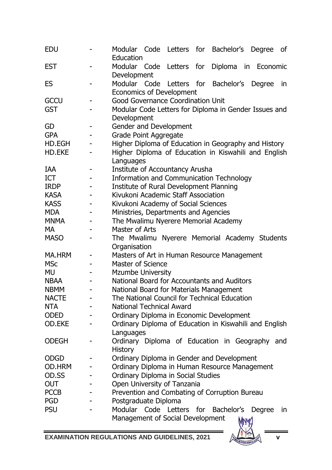| <b>EDU</b>  |                          | Modular<br>Code Letters for Bachelor's Degree<br>οf<br>Education |
|-------------|--------------------------|------------------------------------------------------------------|
| EST         |                          | Modular<br>Letters<br>for<br>Diploma<br>Code<br>in<br>Economic   |
|             |                          | Development                                                      |
| ES          | -                        | Modular Code<br>for<br>Bachelor's<br>Letters<br>Degree<br>in     |
|             |                          | Economics of Development                                         |
| GCCU        |                          | Good Governance Coordination Unit                                |
| GST         |                          | Modular Code Letters for Diploma in Gender Issues and            |
|             |                          | Development                                                      |
| GD          | -                        | Gender and Development                                           |
| GPA         |                          | Grade Point Aggregate                                            |
| HD.EGH      | -                        | Higher Diploma of Education in Geography and History             |
| HD.EKE      | L,                       | Higher Diploma of Education in Kiswahili and English             |
|             |                          | Languages                                                        |
| IAA         | -                        | Institute of Accountancy Arusha                                  |
| ICT         |                          | Information and Communication Technology                         |
| <b>IRDP</b> |                          | Institute of Rural Development Planning                          |
| <b>KASA</b> | L,                       | Kivukoni Academic Staff Association                              |
| <b>KASS</b> |                          | Kivukoni Academy of Social Sciences                              |
| MDA         |                          | Ministries, Departments and Agencies                             |
| <b>MNMA</b> |                          | The Mwalimu Nyerere Memorial Academy                             |
| МA          |                          | Master of Arts                                                   |
| <b>MASO</b> | $\overline{a}$           | The Mwalimu Nyerere Memorial Academy Students                    |
|             |                          | Organisation                                                     |
| MA.HRM      | -                        | Masters of Art in Human Resource Management                      |
| MSc         |                          | Master of Science                                                |
| MU          |                          | <b>Mzumbe University</b>                                         |
| NBAA        | $\overline{\phantom{0}}$ | National Board for Accountants and Auditors                      |
| NBMM        |                          | National Board for Materials Management                          |
| NACTE       |                          | The National Council for Technical Education                     |
| <b>NTA</b>  |                          | National Technical Award                                         |
| ODED        |                          | Ordinary Diploma in Economic Development                         |
| OD.EKE      | L,                       | Ordinary Diploma of Education in Kiswahili and English           |
|             |                          | Languages                                                        |
| ODEGH       | -                        | Ordinary Diploma of Education in Geography and                   |
|             |                          | History                                                          |
| <b>ODGD</b> |                          | Ordinary Diploma in Gender and Development                       |
| OD.HRM      | ٠                        | Ordinary Diploma in Human Resource Management                    |
| OD.SS       |                          | Ordinary Diploma in Social Studies                               |
| OUT         |                          | Open University of Tanzania                                      |
| <b>PCCB</b> |                          | Prevention and Combating of Corruption Bureau                    |
| <b>PGD</b>  |                          | Postgraduate Diploma                                             |
| PSU         |                          | Modular<br>Code<br>Letters<br>for<br>Bachelor's<br>Degree<br>in. |
|             |                          | Management of Social Development<br><b>My4</b>                   |



 $\blacksquare$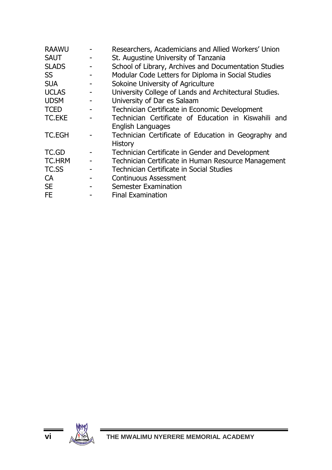| <b>RAAWU</b>  | Researchers, Academicians and Allied Workers' Union    |
|---------------|--------------------------------------------------------|
| <b>SAUT</b>   | St. Augustine University of Tanzania                   |
| <b>SLADS</b>  | School of Library, Archives and Documentation Studies  |
| SS            | Modular Code Letters for Diploma in Social Studies     |
| <b>SUA</b>    | Sokoine University of Agriculture                      |
| <b>UCLAS</b>  | University College of Lands and Architectural Studies. |
| <b>UDSM</b>   | University of Dar es Salaam                            |
| <b>TCED</b>   | Technician Certificate in Economic Development         |
| <b>TC.EKE</b> | Technician Certificate of Education in Kiswahili and   |
|               | English Languages                                      |
| TC.EGH        | Technician Certificate of Education in Geography and   |
|               | History                                                |
| TC.GD         | Technician Certificate in Gender and Development       |
| TC.HRM        | Technician Certificate in Human Resource Management    |
| TC.SS         | Technician Certificate in Social Studies               |
| CA            | Continuous Assessment                                  |
| <b>SE</b>     | Semester Examination                                   |
| FF            | <b>Final Examination</b>                               |

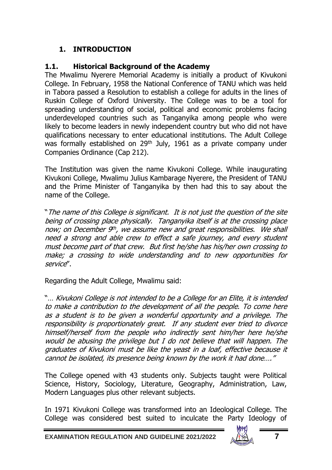# <span id="page-10-0"></span>**1. INTRODUCTION**

# <span id="page-10-1"></span>**1.1. Historical Background of the Academy**

The Mwalimu Nyerere Memorial Academy is initially a product of Kivukoni College. In February, 1958 the National Conference of TANU which was held in Tabora passed a Resolution to establish a college for adults in the lines of Ruskin College of Oxford University. The College was to be a tool for spreading understanding of social, political and economic problems facing underdeveloped countries such as Tanganyika among people who were likely to become leaders in newly independent country but who did not have qualifications necessary to enter educational institutions. The Adult College was formally established on 29<sup>th</sup> July, 1961 as a private company under Companies Ordinance (Cap 212).

The Institution was given the name Kivukoni College. While inaugurating Kivukoni College, Mwalimu Julius Kambarage Nyerere, the President of TANU and the Prime Minister of Tanganyika by then had this to say about the name of the College.

"The name of this College is significant. It is not just the question of the site being of crossing place physically. Tanganyika itself is at the crossing place now; on December 9th, we assume new and great responsibilities. We shall need a strong and able crew to effect a safe journey, and every student must become part of that crew. But first he/she has his/her own crossing to make; a crossing to wide understanding and to new opportunities for service".

Regarding the Adult College, Mwalimu said:

"… Kivukoni College is not intended to be a College for an Elite, it is intended to make a contribution to the development of all the people. To come here as a student is to be given a wonderful opportunity and a privilege. The responsibility is proportionately great. If any student ever tried to divorce himself/herself from the people who indirectly sent him/her here he/she would be abusing the privilege but I do not believe that will happen. The graduates of Kivukoni must be like the yeast in a loaf, effective because it cannot be isolated, its presence being known by the work it had done…."

The College opened with 43 students only. Subjects taught were Political Science, History, Sociology, Literature, Geography, Administration, Law, Modern Languages plus other relevant subjects.

In 1971 Kivukoni College was transformed into an Ideological College. The College was considered best suited to inculcate the Party Ideology of

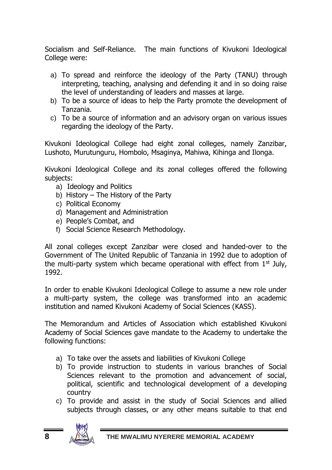Socialism and Self-Reliance. The main functions of Kivukoni Ideological College were:

- a) To spread and reinforce the ideology of the Party (TANU) through interpreting, teaching, analysing and defending it and in so doing raise the level of understanding of leaders and masses at large.
- b) To be a source of ideas to help the Party promote the development of Tanzania.
- c) To be a source of information and an advisory organ on various issues regarding the ideology of the Party.

Kivukoni Ideological College had eight zonal colleges, namely Zanzibar, Lushoto, Murutunguru, Hombolo, Msaginya, Mahiwa, Kihinga and Ilonga.

Kivukoni Ideological College and its zonal colleges offered the following subjects:

- a) Ideology and Politics
- b) History The History of the Party
- c) Political Economy
- d) Management and Administration
- e) People's Combat, and
- f) Social Science Research Methodology.

All zonal colleges except Zanzibar were closed and handed-over to the Government of The United Republic of Tanzania in 1992 due to adoption of the multi-party system which became operational with effect from  $1<sup>st</sup>$  July, 1992.

In order to enable Kivukoni Ideological College to assume a new role under a multi-party system, the college was transformed into an academic institution and named Kivukoni Academy of Social Sciences (KASS).

The Memorandum and Articles of Association which established Kivukoni Academy of Social Sciences gave mandate to the Academy to undertake the following functions:

- a) To take over the assets and liabilities of Kivukoni College
- b) To provide instruction to students in various branches of Social Sciences relevant to the promotion and advancement of social, political, scientific and technological development of a developing country
- c) To provide and assist in the study of Social Sciences and allied subjects through classes, or any other means suitable to that end

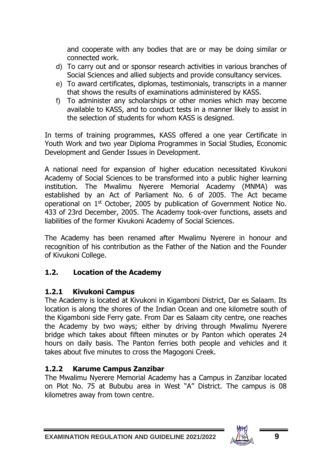and cooperate with any bodies that are or may be doing similar or connected work.

- d) To carry out and or sponsor research activities in various branches of Social Sciences and allied subjects and provide consultancy services.
- e) To award certificates, diplomas, testimonials, transcripts in a manner that shows the results of examinations administered by KASS.
- f) To administer any scholarships or other monies which may become available to KASS, and to conduct tests in a manner likely to assist in the selection of students for whom KASS is designed.

In terms of training programmes, KASS offered a one year Certificate in Youth Work and two year Diploma Programmes in Social Studies, Economic Development and Gender Issues in Development.

A national need for expansion of higher education necessitated Kivukoni Academy of Social Sciences to be transformed into a public higher learning institution. The Mwalimu Nyerere Memorial Academy (MNMA) was established by an Act of Parliament No. 6 of 2005. The Act became operational on 1st October, 2005 by publication of Government Notice No. 433 of 23rd December, 2005. The Academy took-over functions, assets and liabilities of the former Kivukoni Academy of Social Sciences.

The Academy has been renamed after Mwalimu Nyerere in honour and recognition of his contribution as the Father of the Nation and the Founder of Kivukoni College.

# <span id="page-12-0"></span>**1.2. Location of the Academy**

#### <span id="page-12-1"></span>**1.2.1 Kivukoni Campus**

The Academy is located at Kivukoni in Kigamboni District, Dar es Salaam. Its location is along the shores of the Indian Ocean and one kilometre south of the Kigamboni side Ferry gate. From Dar es Salaam city centre, one reaches the Academy by two ways; either by driving through Mwalimu Nyerere bridge which takes about fifteen minutes or by Panton which operates 24 hours on daily basis. The Panton ferries both people and vehicles and it takes about five minutes to cross the Magogoni Creek.

# <span id="page-12-2"></span>**1.2.2 Karume Campus Zanzibar**

The Mwalimu Nyerere Memorial Academy has a Campus in Zanzibar located on Plot No. 75 at Bububu area in West "A" District. The campus is 08 kilometres away from town centre.

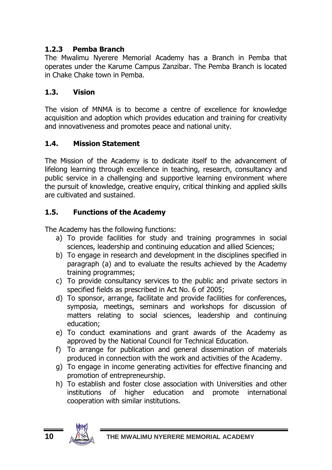# <span id="page-13-0"></span>**1.2.3 Pemba Branch**

The Mwalimu Nyerere Memorial Academy has a Branch in Pemba that operates under the Karume Campus Zanzibar. The Pemba Branch is located in Chake Chake town in Pemba.

# <span id="page-13-1"></span>**1.3. Vision**

The vision of MNMA is to become a centre of excellence for knowledge acquisition and adoption which provides education and training for creativity and innovativeness and promotes peace and national unity.

# <span id="page-13-2"></span>**1.4. Mission Statement**

The Mission of the Academy is to dedicate itself to the advancement of lifelong learning through excellence in teaching, research, consultancy and public service in a challenging and supportive learning environment where the pursuit of knowledge, creative enquiry, critical thinking and applied skills are cultivated and sustained.

# <span id="page-13-3"></span>**1.5. Functions of the Academy**

The Academy has the following functions:

- a) To provide facilities for study and training programmes in social sciences, leadership and continuing education and allied Sciences;
- b) To engage in research and development in the disciplines specified in paragraph (a) and to evaluate the results achieved by the Academy training programmes;
- c) To provide consultancy services to the public and private sectors in specified fields as prescribed in Act No. 6 of 2005;
- d) To sponsor, arrange, facilitate and provide facilities for conferences, symposia, meetings, seminars and workshops for discussion of matters relating to social sciences, leadership and continuing education;
- e) To conduct examinations and grant awards of the Academy as approved by the National Council for Technical Education.
- f) To arrange for publication and general dissemination of materials produced in connection with the work and activities of the Academy.
- g) To engage in income generating activities for effective financing and promotion of entrepreneurship.
- h) To establish and foster close association with Universities and other institutions of higher education and promote international cooperation with similar institutions.

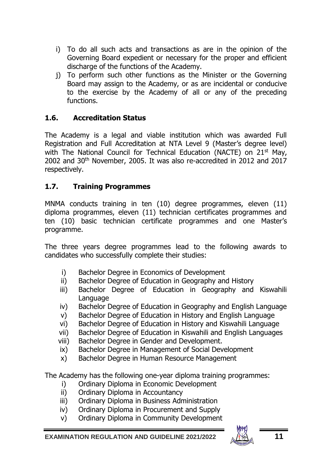- i) To do all such acts and transactions as are in the opinion of the Governing Board expedient or necessary for the proper and efficient discharge of the functions of the Academy.
- j) To perform such other functions as the Minister or the Governing Board may assign to the Academy, or as are incidental or conducive to the exercise by the Academy of all or any of the preceding functions.

### <span id="page-14-0"></span>**1.6. Accreditation Status**

The Academy is a legal and viable institution which was awarded Full Registration and Full Accreditation at NTA Level 9 (Master's degree level) with The National Council for Technical Education (NACTE) on 21<sup>st</sup> May, 2002 and 30<sup>th</sup> November, 2005. It was also re-accredited in 2012 and 2017 respectively.

### <span id="page-14-1"></span>**1.7. Training Programmes**

MNMA conducts training in ten (10) degree programmes, eleven (11) diploma programmes, eleven (11) technician certificates programmes and ten (10) basic technician certificate programmes and one Master's programme.

The three years degree programmes lead to the following awards to candidates who successfully complete their studies:

- i) Bachelor Degree in Economics of Development
- ii) Bachelor Degree of Education in Geography and History
- iii) Bachelor Degree of Education in Geography and Kiswahili Language
- iv) Bachelor Degree of Education in Geography and English Language
- v) Bachelor Degree of Education in History and English Language
- vi) Bachelor Degree of Education in History and Kiswahili Language
- vii) Bachelor Degree of Education in Kiswahili and English Languages
- viii) Bachelor Degree in Gender and Development.
- ix) Bachelor Degree in Management of Social Development
- x) Bachelor Degree in Human Resource Management

The Academy has the following one-year diploma training programmes:

- i) Ordinary Diploma in Economic Development
- ii) Ordinary Diploma in Accountancy
- iii) Ordinary Diploma in Business Administration
- iv) Ordinary Diploma in Procurement and Supply
- v) Ordinary Diploma in Community Development

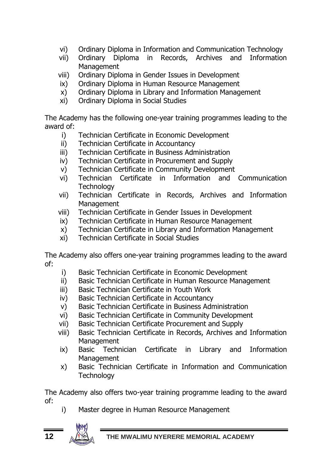- vi) Ordinary Diploma in Information and Communication Technology
- vii) Ordinary Diploma in Records, Archives and Information **Management**
- viii) Ordinary Diploma in Gender Issues in Development
- ix) Ordinary Diploma in Human Resource Management
- x) Ordinary Diploma in Library and Information Management
- xi) Ordinary Diploma in Social Studies

The Academy has the following one-year training programmes leading to the award of:

- i) Technician Certificate in Economic Development
- ii) Technician Certificate in Accountancy
- iii) Technician Certificate in Business Administration
- iv) Technician Certificate in Procurement and Supply
- v) Technician Certificate in Community Development
- vi) Technician Certificate in Information and Communication **Technology**
- vii) Technician Certificate in Records, Archives and Information Management
- viii) Technician Certificate in Gender Issues in Development
- ix) Technician Certificate in Human Resource Management
- x) Technician Certificate in Library and Information Management
- xi) Technician Certificate in Social Studies

The Academy also offers one-year training programmes leading to the award of:

- i) Basic Technician Certificate in Economic Development
- ii) Basic Technician Certificate in Human Resource Management
- iii) Basic Technician Certificate in Youth Work
- iv) Basic Technician Certificate in Accountancy
- v) Basic Technician Certificate in Business Administration
- vi) Basic Technician Certificate in Community Development
- vii) Basic Technician Certificate Procurement and Supply
- viii) Basic Technician Certificate in Records, Archives and Information Management
- ix) Basic Technician Certificate in Library and Information **Management**
- x) Basic Technician Certificate in Information and Communication **Technology**

The Academy also offers two-year training programme leading to the award of:

i) Master degree in Human Resource Management

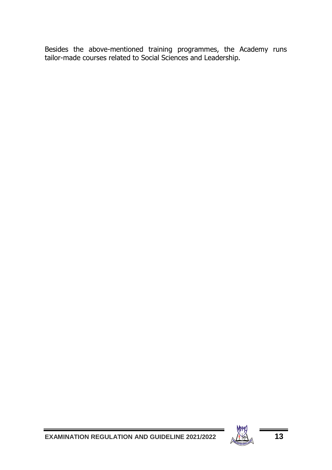Besides the above-mentioned training programmes, the Academy runs tailor-made courses related to Social Sciences and Leadership.

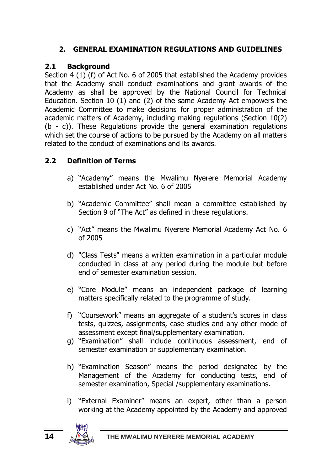# <span id="page-17-0"></span>**2. GENERAL EXAMINATION REGULATIONS AND GUIDELINES**

# <span id="page-17-1"></span>**2.1 Background**

Section 4 (1) (f) of Act No. 6 of 2005 that established the Academy provides that the Academy shall conduct examinations and grant awards of the Academy as shall be approved by the National Council for Technical Education. Section 10 (1) and (2) of the same Academy Act empowers the Academic Committee to make decisions for proper administration of the academic matters of Academy, including making regulations (Section 10(2) (b - c)). These Regulations provide the general examination regulations which set the course of actions to be pursued by the Academy on all matters related to the conduct of examinations and its awards.

# <span id="page-17-2"></span>**2.2 Definition of Terms**

- a) "Academy" means the Mwalimu Nyerere Memorial Academy established under Act No. 6 of 2005
- b) "Academic Committee" shall mean a committee established by Section 9 of "The Act" as defined in these regulations.
- c) "Act" means the Mwalimu Nyerere Memorial Academy Act No. 6 of 2005
- d) "Class Tests" means a written examination in a particular module conducted in class at any period during the module but before end of semester examination session.
- e) "Core Module" means an independent package of learning matters specifically related to the programme of study.
- f) "Coursework" means an aggregate of a student's scores in class tests, quizzes, assignments, case studies and any other mode of assessment except final/supplementary examination.
- g) "Examination" shall include continuous assessment, end of semester examination or supplementary examination.
- h) "Examination Season" means the period designated by the Management of the Academy for conducting tests, end of semester examination, Special /supplementary examinations.
- i) "External Examiner" means an expert, other than a person working at the Academy appointed by the Academy and approved

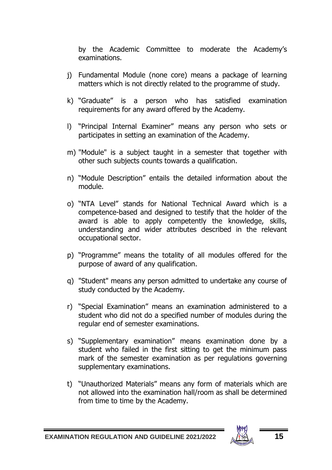by the Academic Committee to moderate the Academy's examinations.

- j) Fundamental Module (none core) means a package of learning matters which is not directly related to the programme of study.
- k) "Graduate" is a person who has satisfied examination requirements for any award offered by the Academy.
- l) "Principal Internal Examiner" means any person who sets or participates in setting an examination of the Academy.
- m) "Module" is a subject taught in a semester that together with other such subjects counts towards a qualification.
- n) "Module Description" entails the detailed information about the module.
- o) "NTA Level" stands for National Technical Award which is a competence-based and designed to testify that the holder of the award is able to apply competently the knowledge, skills, understanding and wider attributes described in the relevant occupational sector.
- p) "Programme" means the totality of all modules offered for the purpose of award of any qualification.
- q) "Student" means any person admitted to undertake any course of study conducted by the Academy.
- r) "Special Examination" means an examination administered to a student who did not do a specified number of modules during the regular end of semester examinations.
- s) "Supplementary examination" means examination done by a student who failed in the first sitting to get the minimum pass mark of the semester examination as per regulations governing supplementary examinations.
- t) "Unauthorized Materials" means any form of materials which are not allowed into the examination hall/room as shall be determined from time to time by the Academy.

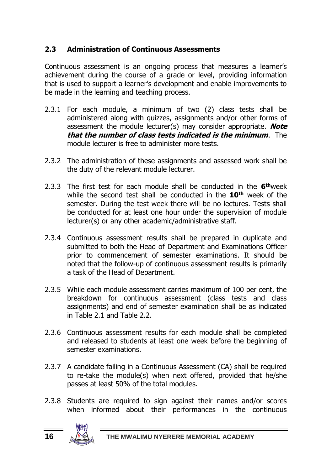# <span id="page-19-0"></span>**2.3 Administration of Continuous Assessments**

Continuous assessment is an ongoing process that measures a learner's achievement during the course of a grade or level, providing information that is used to support a learner's development and enable improvements to be made in the learning and teaching process.

- 2.3.1 For each module, a minimum of two (2) class tests shall be administered along with quizzes, assignments and/or other forms of assessment the module lecturer(s) may consider appropriate. **Note that the number of class tests indicated is the minimum**. The module lecturer is free to administer more tests.
- 2.3.2 The administration of these assignments and assessed work shall be the duty of the relevant module lecturer.
- 2.3.3 The first test for each module shall be conducted in the **6 th**week while the second test shall be conducted in the **10th** week of the semester. During the test week there will be no lectures. Tests shall be conducted for at least one hour under the supervision of module lecturer(s) or any other academic/administrative staff.
- 2.3.4 Continuous assessment results shall be prepared in duplicate and submitted to both the Head of Department and Examinations Officer prior to commencement of semester examinations. It should be noted that the follow-up of continuous assessment results is primarily a task of the Head of Department.
- 2.3.5 While each module assessment carries maximum of 100 per cent, the breakdown for continuous assessment (class tests and class assignments) and end of semester examination shall be as indicated in Table 2.1 and Table 2.2.
- 2.3.6 Continuous assessment results for each module shall be completed and released to students at least one week before the beginning of semester examinations.
- 2.3.7 A candidate failing in a Continuous Assessment (CA) shall be required to re-take the module(s) when next offered, provided that he/she passes at least 50% of the total modules.
- 2.3.8 Students are required to sign against their names and/or scores when informed about their performances in the continuous

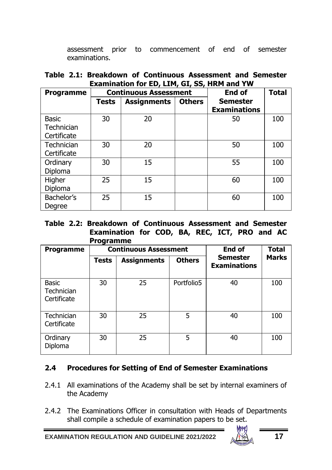assessment prior to commencement of end of semester examinations.

| Table 2.1: Breakdown of Continuous Assessment and Semester |  |
|------------------------------------------------------------|--|
| Examination for ED, LIM, GI, SS, HRM and YW                |  |

| <b>Programme</b>                          | <b>Continuous Assessment</b> |                    |               | End of                                 | <b>Total</b> |
|-------------------------------------------|------------------------------|--------------------|---------------|----------------------------------------|--------------|
|                                           | <b>Tests</b>                 | <b>Assignments</b> | <b>Others</b> | <b>Semester</b><br><b>Examinations</b> |              |
| <b>Basic</b><br>Technician<br>Certificate | 30                           | 20                 |               | 50                                     | 100          |
| Technician<br>Certificate                 | 30                           | 20                 |               | 50                                     | 100          |
| Ordinary<br>Diploma                       | 30                           | 15                 |               | 55                                     | 100          |
| Higher<br>Diploma                         | 25                           | 15                 |               | 60                                     | 100          |
| Bachelor's<br>Degree                      | 25                           | 15                 |               | 60                                     | 100          |

**Table 2.2: Breakdown of Continuous Assessment and Semester Examination for COD, BA, REC, ICT, PRO and AC Programme**

| Programme                                 |       | <b>Continuous Assessment</b> | End of        | <b>Total</b>                    |              |
|-------------------------------------------|-------|------------------------------|---------------|---------------------------------|--------------|
|                                           | Tests | <b>Assignments</b>           | <b>Others</b> | Semester<br><b>Examinations</b> | <b>Marks</b> |
| <b>Basic</b><br>Technician<br>Certificate | 30    | 25                           | Portfolio5    | 40                              | 100          |
| Technician<br>Certificate                 | 30    | 25                           | 5             | 40                              | 100          |
| Ordinary<br>Diploma                       | 30    | 25                           | 5             | 40                              | 100          |

#### <span id="page-20-0"></span>**2.4 Procedures for Setting of End of Semester Examinations**

- 2.4.1 All examinations of the Academy shall be set by internal examiners of the Academy
- 2.4.2 The Examinations Officer in consultation with Heads of Departments shall compile a schedule of examination papers to be set.

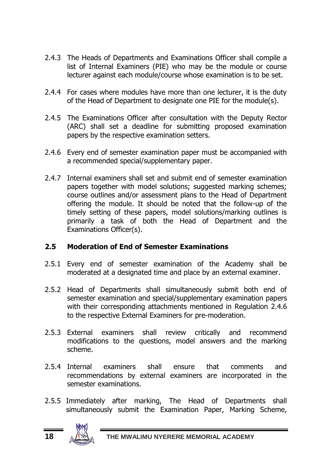- 2.4.3 The Heads of Departments and Examinations Officer shall compile a list of Internal Examiners (PIE) who may be the module or course lecturer against each module/course whose examination is to be set.
- 2.4.4 For cases where modules have more than one lecturer, it is the duty of the Head of Department to designate one PIE for the module(s).
- 2.4.5 The Examinations Officer after consultation with the Deputy Rector (ARC) shall set a deadline for submitting proposed examination papers by the respective examination setters.
- 2.4.6 Every end of semester examination paper must be accompanied with a recommended special/supplementary paper.
- 2.4.7 Internal examiners shall set and submit end of semester examination papers together with model solutions; suggested marking schemes; course outlines and/or assessment plans to the Head of Department offering the module. It should be noted that the follow-up of the timely setting of these papers, model solutions/marking outlines is primarily a task of both the Head of Department and the Examinations Officer(s).

#### <span id="page-21-0"></span>**2.5 Moderation of End of Semester Examinations**

- 2.5.1 Every end of semester examination of the Academy shall be moderated at a designated time and place by an external examiner.
- 2.5.2 Head of Departments shall simultaneously submit both end of semester examination and special/supplementary examination papers with their corresponding attachments mentioned in Regulation 2.4.6 to the respective External Examiners for pre-moderation.
- 2.5.3 External examiners shall review critically and recommend modifications to the questions, model answers and the marking scheme.
- 2.5.4 Internal examiners shall ensure that comments and recommendations by external examiners are incorporated in the semester examinations.
- 2.5.5 Immediately after marking, The Head of Departments shall simultaneously submit the Examination Paper, Marking Scheme,

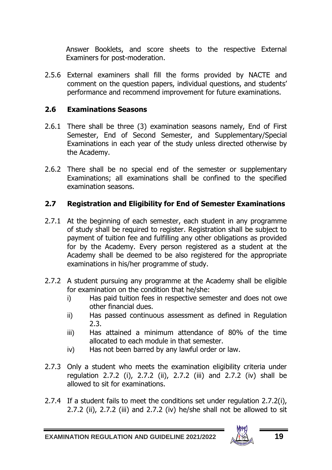Answer Booklets, and score sheets to the respective External Examiners for post-moderation.

2.5.6 External examiners shall fill the forms provided by NACTE and comment on the question papers, individual questions, and students' performance and recommend improvement for future examinations.

#### <span id="page-22-0"></span>**2.6 Examinations Seasons**

- 2.6.1 There shall be three (3) examination seasons namely, End of First Semester, End of Second Semester, and Supplementary/Special Examinations in each year of the study unless directed otherwise by the Academy.
- 2.6.2 There shall be no special end of the semester or supplementary Examinations; all examinations shall be confined to the specified examination seasons.

#### <span id="page-22-1"></span>**2.7 Registration and Eligibility for End of Semester Examinations**

- 2.7.1 At the beginning of each semester, each student in any programme of study shall be required to register. Registration shall be subject to payment of tuition fee and fulfilling any other obligations as provided for by the Academy. Every person registered as a student at the Academy shall be deemed to be also registered for the appropriate examinations in his/her programme of study.
- 2.7.2 A student pursuing any programme at the Academy shall be eligible for examination on the condition that he/she:
	- i) Has paid tuition fees in respective semester and does not owe other financial dues.
	- ii) Has passed continuous assessment as defined in Regulation  $2.3$
	- iii) Has attained a minimum attendance of 80% of the time allocated to each module in that semester.
	- iv) Has not been barred by any lawful order or law.
- 2.7.3 Only a student who meets the examination eligibility criteria under regulation 2.7.2 (i), 2.7.2 (ii), 2.7.2 (iii) and 2.7.2 (iv) shall be allowed to sit for examinations.
- 2.7.4 If a student fails to meet the conditions set under regulation 2.7.2(i), 2.7.2 (ii), 2.7.2 (iii) and 2.7.2 (iv) he/she shall not be allowed to sit

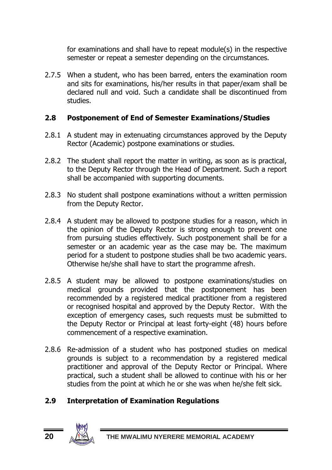for examinations and shall have to repeat module(s) in the respective semester or repeat a semester depending on the circumstances.

2.7.5 When a student, who has been barred, enters the examination room and sits for examinations, his/her results in that paper/exam shall be declared null and void. Such a candidate shall be discontinued from studies.

#### <span id="page-23-0"></span>**2.8 Postponement of End of Semester Examinations/Studies**

- 2.8.1 A student may in extenuating circumstances approved by the Deputy Rector (Academic) postpone examinations or studies.
- 2.8.2 The student shall report the matter in writing, as soon as is practical, to the Deputy Rector through the Head of Department. Such a report shall be accompanied with supporting documents.
- 2.8.3 No student shall postpone examinations without a written permission from the Deputy Rector.
- 2.8.4 A student may be allowed to postpone studies for a reason, which in the opinion of the Deputy Rector is strong enough to prevent one from pursuing studies effectively. Such postponement shall be for a semester or an academic year as the case may be. The maximum period for a student to postpone studies shall be two academic years. Otherwise he/she shall have to start the programme afresh.
- 2.8.5 A student may be allowed to postpone examinations/studies on medical grounds provided that the postponement has been recommended by a registered medical practitioner from a registered or recognised hospital and approved by the Deputy Rector. With the exception of emergency cases, such requests must be submitted to the Deputy Rector or Principal at least forty-eight (48) hours before commencement of a respective examination.
- 2.8.6 Re-admission of a student who has postponed studies on medical grounds is subject to a recommendation by a registered medical practitioner and approval of the Deputy Rector or Principal. Where practical, such a student shall be allowed to continue with his or her studies from the point at which he or she was when he/she felt sick.

# <span id="page-23-1"></span>**2.9 Interpretation of Examination Regulations**

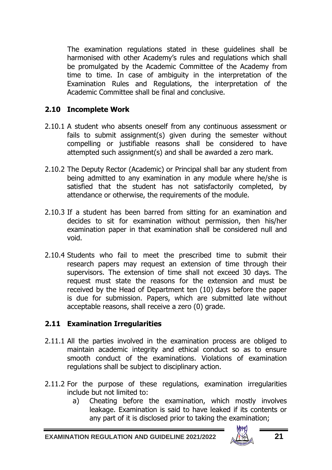The examination regulations stated in these guidelines shall be harmonised with other Academy's rules and regulations which shall be promulgated by the Academic Committee of the Academy from time to time. In case of ambiguity in the interpretation of the Examination Rules and Regulations, the interpretation of the Academic Committee shall be final and conclusive.

### <span id="page-24-0"></span>**2.10 Incomplete Work**

- 2.10.1 A student who absents oneself from any continuous assessment or fails to submit assignment(s) given during the semester without compelling or justifiable reasons shall be considered to have attempted such assignment(s) and shall be awarded a zero mark.
- 2.10.2 The Deputy Rector (Academic) or Principal shall bar any student from being admitted to any examination in any module where he/she is satisfied that the student has not satisfactorily completed, by attendance or otherwise, the requirements of the module.
- 2.10.3 If a student has been barred from sitting for an examination and decides to sit for examination without permission, then his/her examination paper in that examination shall be considered null and void.
- 2.10.4 Students who fail to meet the prescribed time to submit their research papers may request an extension of time through their supervisors. The extension of time shall not exceed 30 days. The request must state the reasons for the extension and must be received by the Head of Department ten (10) days before the paper is due for submission. Papers, which are submitted late without acceptable reasons, shall receive a zero (0) grade.

#### <span id="page-24-1"></span>**2.11 Examination Irregularities**

- 2.11.1 All the parties involved in the examination process are obliged to maintain academic integrity and ethical conduct so as to ensure smooth conduct of the examinations. Violations of examination regulations shall be subject to disciplinary action.
- 2.11.2 For the purpose of these regulations, examination irregularities include but not limited to:
	- a) Cheating before the examination, which mostly involves leakage. Examination is said to have leaked if its contents or any part of it is disclosed prior to taking the examination;

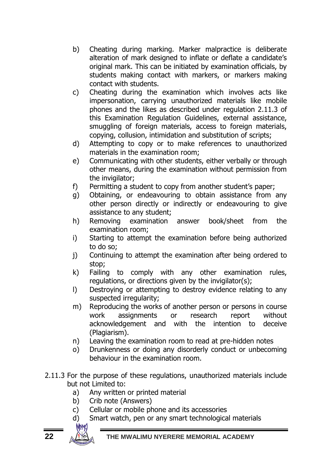- b) Cheating during marking. Marker malpractice is deliberate alteration of mark designed to inflate or deflate a candidate's original mark. This can be initiated by examination officials, by students making contact with markers, or markers making contact with students.
- c) Cheating during the examination which involves acts like impersonation, carrying unauthorized materials like mobile phones and the likes as described under regulation 2.11.3 of this Examination Regulation Guidelines, external assistance, smuggling of foreign materials, access to foreign materials, copying, collusion, intimidation and substitution of scripts;
- d) Attempting to copy or to make references to unauthorized materials in the examination room;
- e) Communicating with other students, either verbally or through other means, during the examination without permission from the invigilator;
- f) Permitting a student to copy from another student's paper;
- g) Obtaining, or endeavouring to obtain assistance from any other person directly or indirectly or endeavouring to give assistance to any student;
- h) Removing examination answer book/sheet from the examination room;
- i) Starting to attempt the examination before being authorized to do so;
- j) Continuing to attempt the examination after being ordered to stop;
- k) Failing to comply with any other examination rules, regulations, or directions given by the invigilator(s);
- l) Destroying or attempting to destroy evidence relating to any suspected irregularity;
- m) Reproducing the works of another person or persons in course work assignments or research report without acknowledgement and with the intention to deceive (Plagiarism).
- n) Leaving the examination room to read at pre-hidden notes
- o) Drunkenness or doing any disorderly conduct or unbecoming behaviour in the examination room.
- 2.11.3 For the purpose of these regulations, unauthorized materials include but not Limited to:
	- a) Any written or printed material
	- b) Crib note (Answers)
	- c) Cellular or mobile phone and its accessories
	- d) Smart watch, pen or any smart technological materials

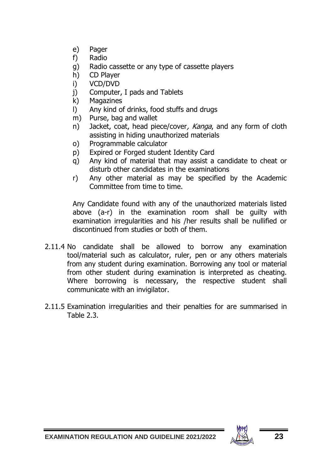- e) Pager
- f) Radio
- g) Radio cassette or any type of cassette players
- h) CD Player
- i) VCD/DVD
- j) Computer, I pads and Tablets
- k) Magazines
- l) Any kind of drinks, food stuffs and drugs
- m) Purse, bag and wallet
- n) Jacket, coat, head piece/cover, Kanga, and any form of cloth assisting in hiding unauthorized materials
- o) Programmable calculator
- p) Expired or Forged student Identity Card
- q) Any kind of material that may assist a candidate to cheat or disturb other candidates in the examinations
- r) Any other material as may be specified by the Academic Committee from time to time.

Any Candidate found with any of the unauthorized materials listed above (a-r) in the examination room shall be guilty with examination irregularities and his /her results shall be nullified or discontinued from studies or both of them.

- 2.11.4 No candidate shall be allowed to borrow any examination tool/material such as calculator, ruler, pen or any others materials from any student during examination. Borrowing any tool or material from other student during examination is interpreted as cheating. Where borrowing is necessary, the respective student shall communicate with an invigilator.
- 2.11.5 Examination irregularities and their penalties for are summarised in  $Table 2.3$

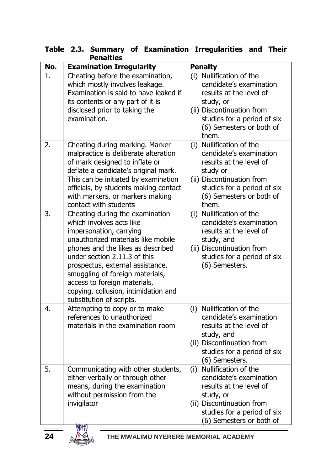| No. | renaiues<br><b>Examination Irregularity</b> | <b>Penalty</b>              |
|-----|---------------------------------------------|-----------------------------|
| 1.  | Cheating before the examination,            | (i) Nullification of the    |
|     | which mostly involves leakage.              | candidate's examination     |
|     | Examination is said to have leaked if       | results at the level of     |
|     | its contents or any part of it is           | study, or                   |
|     | disclosed prior to taking the               | (ii) Discontinuation from   |
|     | examination.                                | studies for a period of six |
|     |                                             | (6) Semesters or both of    |
|     |                                             | them.                       |
| 2.  | Cheating during marking. Marker             | (i) Nullification of the    |
|     | malpractice is deliberate alteration        | candidate's examination     |
|     | of mark designed to inflate or              | results at the level of     |
|     | deflate a candidate's original mark.        | study or                    |
|     | This can be initiated by examination        | (ii) Discontinuation from   |
|     | officials, by students making contact       | studies for a period of six |
|     | with markers, or markers making             | (6) Semesters or both of    |
|     | contact with students                       | them.                       |
| 3.  | Cheating during the examination             | (i) Nullification of the    |
|     | which involves acts like                    | candidate's examination     |
|     | impersonation, carrying                     | results at the level of     |
|     | unauthorized materials like mobile          | study, and                  |
|     | phones and the likes as described           | (ii) Discontinuation from   |
|     | under section 2.11.3 of this                | studies for a period of six |
|     | prospectus, external assistance,            | (6) Semesters.              |
|     | smuggling of foreign materials,             |                             |
|     | access to foreign materials,                |                             |
|     | copying, collusion, intimidation and        |                             |
|     | substitution of scripts.                    |                             |
| 4.  | Attempting to copy or to make               | Nullification of the<br>(i) |
|     | references to unauthorized                  | candidate's examination     |
|     | materials in the examination room           | results at the level of     |
|     |                                             | study, and                  |
|     |                                             | (ii) Discontinuation from   |
|     |                                             | studies for a period of six |
|     |                                             | (6) Semesters.              |
| 5.  | Communicating with other students,          | Nullification of the<br>(i) |
|     | either verbally or through other            | candidate's examination     |
|     | means, during the examination               | results at the level of     |
|     | without permission from the                 | study, or                   |
|     | invigilator                                 | (ii) Discontinuation from   |
|     |                                             | studies for a period of six |
|     | <b>MW</b>                                   | (6) Semesters or both of    |

# **Table 2.3. Summary of Examination Irregularities and Their Penalties**

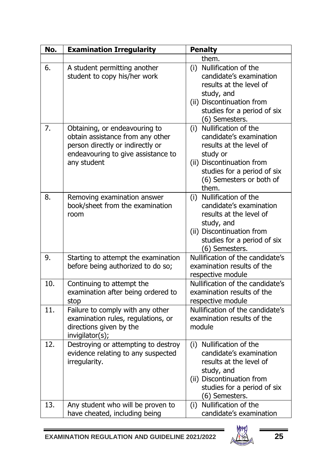| No.               | <b>Examination Irregularity</b>                                                                                                                            | <b>Penalty</b>                                                                                                                                                                              |
|-------------------|------------------------------------------------------------------------------------------------------------------------------------------------------------|---------------------------------------------------------------------------------------------------------------------------------------------------------------------------------------------|
|                   |                                                                                                                                                            | them.                                                                                                                                                                                       |
| 6.                | A student permitting another<br>student to copy his/her work                                                                                               | (i) Nullification of the<br>candidate's examination<br>results at the level of<br>study, and<br>(ii) Discontinuation from<br>studies for a period of six<br>(6) Semesters.                  |
| 7.                | Obtaining, or endeavouring to<br>obtain assistance from any other<br>person directly or indirectly or<br>endeavouring to give assistance to<br>any student | (i) Nullification of the<br>candidate's examination<br>results at the level of<br>study or<br>(ii) Discontinuation from<br>studies for a period of six<br>(6) Semesters or both of<br>them. |
| 8.                | Removing examination answer<br>book/sheet from the examination<br>room                                                                                     | (i) Nullification of the<br>candidate's examination<br>results at the level of<br>study, and<br>(ii) Discontinuation from<br>studies for a period of six<br>(6) Semesters.                  |
| 9.                | Starting to attempt the examination<br>before being authorized to do so;                                                                                   | Nullification of the candidate's<br>examination results of the<br>respective module                                                                                                         |
| 10.               | Continuing to attempt the<br>examination after being ordered to<br>stop                                                                                    | Nullification of the candidate's<br>examination results of the<br>respective module                                                                                                         |
| $\overline{11}$ . | Failure to comply with any other<br>examination rules, regulations, or<br>directions given by the<br>invigilator(s);                                       | Nullification of the candidate's<br>examination results of the<br>module                                                                                                                    |
| 12.               | Destroying or attempting to destroy<br>evidence relating to any suspected<br>irregularity.                                                                 | (i) Nullification of the<br>candidate's examination<br>results at the level of<br>study, and<br>(ii) Discontinuation from<br>studies for a period of six<br>(6) Semesters.                  |
| 13.               | Any student who will be proven to<br>have cheated, including being                                                                                         | (i) Nullification of the<br>candidate's examination                                                                                                                                         |



 $\overline{\phantom{0}}$ 

 $\overline{a}$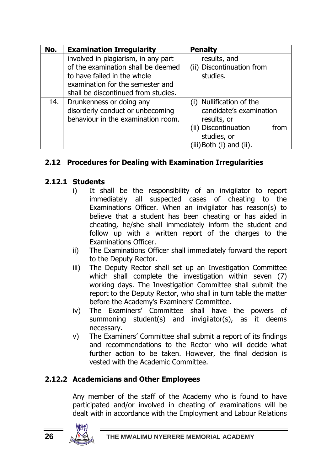| No. | <b>Examination Irregularity</b>                                                                                                                                                     | <b>Penalty</b>                                                                                                                            |
|-----|-------------------------------------------------------------------------------------------------------------------------------------------------------------------------------------|-------------------------------------------------------------------------------------------------------------------------------------------|
|     | involved in plagiarism, in any part<br>of the examination shall be deemed<br>to have failed in the whole<br>examination for the semester and<br>shall be discontinued from studies. | results, and<br>(ii) Discontinuation from<br>studies.                                                                                     |
| 14. | Drunkenness or doing any<br>disorderly conduct or unbecoming<br>behaviour in the examination room.                                                                                  | Nullification of the<br>candidate's examination<br>results, or<br>(ii) Discontinuation<br>from<br>studies, or<br>(iii) Both (i) and (ii). |

# <span id="page-29-0"></span>**2.12 Procedures for Dealing with Examination Irregularities**

### <span id="page-29-1"></span>**2.12.1 Students**

- i) It shall be the responsibility of an invigilator to report immediately all suspected cases of cheating to the Examinations Officer. When an invigilator has reason(s) to believe that a student has been cheating or has aided in cheating, he/she shall immediately inform the student and follow up with a written report of the charges to the Examinations Officer.
- ii) The Examinations Officer shall immediately forward the report to the Deputy Rector.
- iii) The Deputy Rector shall set up an Investigation Committee which shall complete the investigation within seven (7) working days. The Investigation Committee shall submit the report to the Deputy Rector, who shall in turn table the matter before the Academy's Examiners' Committee.
- iv) The Examiners' Committee shall have the powers of summoning student(s) and invigilator(s), as it deems necessary.
- v) The Examiners' Committee shall submit a report of its findings and recommendations to the Rector who will decide what further action to be taken. However, the final decision is vested with the Academic Committee.

# <span id="page-29-2"></span>**2.12.2 Academicians and Other Employees**

Any member of the staff of the Academy who is found to have participated and/or involved in cheating of examinations will be dealt with in accordance with the Employment and Labour Relations

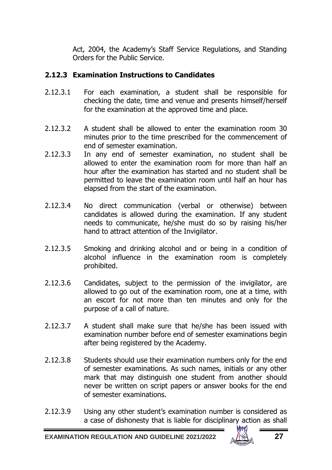Act, 2004, the Academy's Staff Service Regulations, and Standing Orders for the Public Service.

#### <span id="page-30-0"></span>**2.12.3 Examination Instructions to Candidates**

- 2.12.3.1 For each examination, a student shall be responsible for checking the date, time and venue and presents himself/herself for the examination at the approved time and place.
- 2.12.3.2 A student shall be allowed to enter the examination room 30 minutes prior to the time prescribed for the commencement of end of semester examination.
- 2.12.3.3 In any end of semester examination, no student shall be allowed to enter the examination room for more than half an hour after the examination has started and no student shall be permitted to leave the examination room until half an hour has elapsed from the start of the examination.
- 2.12.3.4 No direct communication (verbal or otherwise) between candidates is allowed during the examination. If any student needs to communicate, he/she must do so by raising his/her hand to attract attention of the Invigilator.
- 2.12.3.5 Smoking and drinking alcohol and or being in a condition of alcohol influence in the examination room is completely prohibited.
- 2.12.3.6 Candidates, subject to the permission of the invigilator, are allowed to go out of the examination room, one at a time, with an escort for not more than ten minutes and only for the purpose of a call of nature.
- 2.12.3.7 A student shall make sure that he/she has been issued with examination number before end of semester examinations begin after being registered by the Academy.
- 2.12.3.8 Students should use their examination numbers only for the end of semester examinations. As such names, initials or any other mark that may distinguish one student from another should never be written on script papers or answer books for the end of semester examinations.
- 2.12.3.9 Using any other student's examination number is considered as a case of dishonesty that is liable for disciplinary action as shall

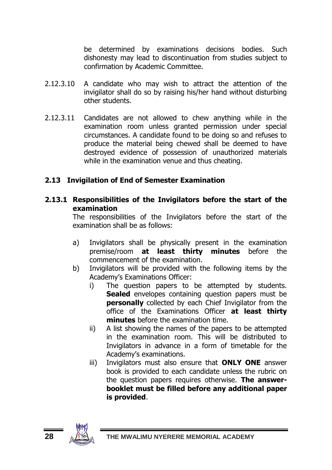be determined by examinations decisions bodies. Such dishonesty may lead to discontinuation from studies subject to confirmation by Academic Committee.

- 2.12.3.10 A candidate who may wish to attract the attention of the invigilator shall do so by raising his/her hand without disturbing other students.
- 2.12.3.11 Candidates are not allowed to chew anything while in the examination room unless granted permission under special circumstances. A candidate found to be doing so and refuses to produce the material being chewed shall be deemed to have destroyed evidence of possession of unauthorized materials while in the examination venue and thus cheating.

### <span id="page-31-0"></span>**2.13 Invigilation of End of Semester Examination**

#### <span id="page-31-1"></span>**2.13.1 Responsibilities of the Invigilators before the start of the examination**

The responsibilities of the Invigilators before the start of the examination shall be as follows:

- a) Invigilators shall be physically present in the examination premise/room **at least thirty minutes** before the commencement of the examination.
- b) Invigilators will be provided with the following items by the Academy's Examinations Officer:
	- i) The question papers to be attempted by students. **Sealed** envelopes containing question papers must be **personally** collected by each Chief Invigilator from the office of the Examinations Officer **at least thirty minutes** before the examination time.
	- ii) A list showing the names of the papers to be attempted in the examination room. This will be distributed to Invigilators in advance in a form of timetable for the Academy's examinations.
	- iii) Invigilators must also ensure that **ONLY ONE** answer book is provided to each candidate unless the rubric on the question papers requires otherwise. **The answerbooklet must be filled before any additional paper is provided**.

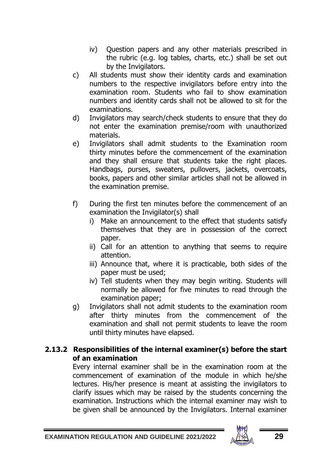- iv) Question papers and any other materials prescribed in the rubric (e.g. log tables, charts, etc.) shall be set out by the Invigilators.
- c) All students must show their identity cards and examination numbers to the respective invigilators before entry into the examination room. Students who fail to show examination numbers and identity cards shall not be allowed to sit for the examinations.
- d) Invigilators may search/check students to ensure that they do not enter the examination premise/room with unauthorized materials.
- e) Invigilators shall admit students to the Examination room thirty minutes before the commencement of the examination and they shall ensure that students take the right places. Handbags, purses, sweaters, pullovers, jackets, overcoats, books, papers and other similar articles shall not be allowed in the examination premise.
- f) During the first ten minutes before the commencement of an examination the Invigilator(s) shall
	- i) Make an announcement to the effect that students satisfy themselves that they are in possession of the correct paper.
	- ii) Call for an attention to anything that seems to require attention.
	- iii) Announce that, where it is practicable, both sides of the paper must be used;
	- iv) Tell students when they may begin writing. Students will normally be allowed for five minutes to read through the examination paper;
- g) Invigilators shall not admit students to the examination room after thirty minutes from the commencement of the examination and shall not permit students to leave the room until thirty minutes have elapsed.

#### **2.13.2 Responsibilities of the internal examiner(s) before the start of an examination**

<span id="page-32-0"></span>Every internal examiner shall be in the examination room at the commencement of examination of the module in which he/she lectures. His/her presence is meant at assisting the invigilators to clarify issues which may be raised by the students concerning the examination. Instructions which the internal examiner may wish to be given shall be announced by the Invigilators. Internal examiner

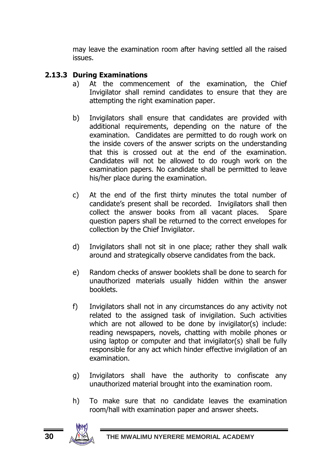may leave the examination room after having settled all the raised issues.

#### <span id="page-33-0"></span>**2.13.3 During Examinations**

- a) At the commencement of the examination, the Chief Invigilator shall remind candidates to ensure that they are attempting the right examination paper.
- b) Invigilators shall ensure that candidates are provided with additional requirements, depending on the nature of the examination. Candidates are permitted to do rough work on the inside covers of the answer scripts on the understanding that this is crossed out at the end of the examination. Candidates will not be allowed to do rough work on the examination papers. No candidate shall be permitted to leave his/her place during the examination.
- c) At the end of the first thirty minutes the total number of candidate's present shall be recorded. Invigilators shall then collect the answer books from all vacant places. Spare question papers shall be returned to the correct envelopes for collection by the Chief Invigilator.
- d) Invigilators shall not sit in one place; rather they shall walk around and strategically observe candidates from the back.
- e) Random checks of answer booklets shall be done to search for unauthorized materials usually hidden within the answer booklets.
- f) Invigilators shall not in any circumstances do any activity not related to the assigned task of invigilation. Such activities which are not allowed to be done by invigilator(s) include: reading newspapers, novels, chatting with mobile phones or using laptop or computer and that invigilator(s) shall be fully responsible for any act which hinder effective invigilation of an examination.
- g) Invigilators shall have the authority to confiscate any unauthorized material brought into the examination room.
- h) To make sure that no candidate leaves the examination room/hall with examination paper and answer sheets.

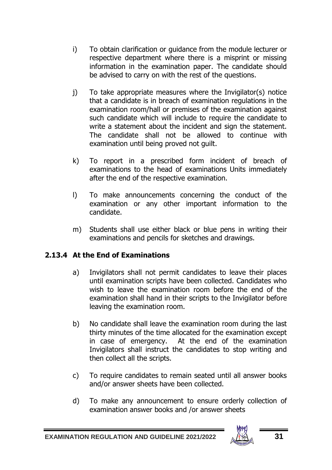- i) To obtain clarification or guidance from the module lecturer or respective department where there is a misprint or missing information in the examination paper. The candidate should be advised to carry on with the rest of the questions.
- j) To take appropriate measures where the Invigilator(s) notice that a candidate is in breach of examination regulations in the examination room/hall or premises of the examination against such candidate which will include to require the candidate to write a statement about the incident and sign the statement. The candidate shall not be allowed to continue with examination until being proved not guilt.
- k) To report in a prescribed form incident of breach of examinations to the head of examinations Units immediately after the end of the respective examination.
- l) To make announcements concerning the conduct of the examination or any other important information to the candidate.
- m) Students shall use either black or blue pens in writing their examinations and pencils for sketches and drawings.

#### <span id="page-34-0"></span>**2.13.4 At the End of Examinations**

- a) Invigilators shall not permit candidates to leave their places until examination scripts have been collected. Candidates who wish to leave the examination room before the end of the examination shall hand in their scripts to the Invigilator before leaving the examination room.
- b) No candidate shall leave the examination room during the last thirty minutes of the time allocated for the examination except in case of emergency. At the end of the examination Invigilators shall instruct the candidates to stop writing and then collect all the scripts.
- c) To require candidates to remain seated until all answer books and/or answer sheets have been collected.
- d) To make any announcement to ensure orderly collection of examination answer books and /or answer sheets

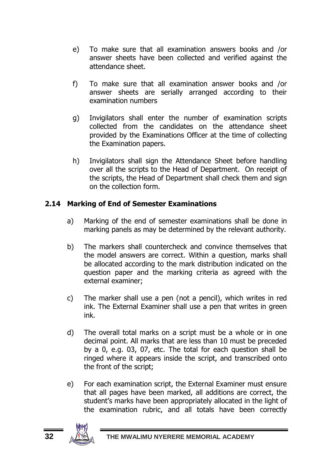- e) To make sure that all examination answers books and /or answer sheets have been collected and verified against the attendance sheet.
- f) To make sure that all examination answer books and /or answer sheets are serially arranged according to their examination numbers
- g) Invigilators shall enter the number of examination scripts collected from the candidates on the attendance sheet provided by the Examinations Officer at the time of collecting the Examination papers.
- h) Invigilators shall sign the Attendance Sheet before handling over all the scripts to the Head of Department. On receipt of the scripts, the Head of Department shall check them and sign on the collection form.

### <span id="page-35-0"></span>**2.14 Marking of End of Semester Examinations**

- a) Marking of the end of semester examinations shall be done in marking panels as may be determined by the relevant authority.
- b) The markers shall countercheck and convince themselves that the model answers are correct. Within a question, marks shall be allocated according to the mark distribution indicated on the question paper and the marking criteria as agreed with the external examiner;
- c) The marker shall use a pen (not a pencil), which writes in red ink. The External Examiner shall use a pen that writes in green ink.
- d) The overall total marks on a script must be a whole or in one decimal point. All marks that are less than 10 must be preceded by a 0, e.g. 03, 07, etc. The total for each question shall be ringed where it appears inside the script, and transcribed onto the front of the script;
- e) For each examination script, the External Examiner must ensure that all pages have been marked, all additions are correct, the student's marks have been appropriately allocated in the light of the examination rubric, and all totals have been correctly

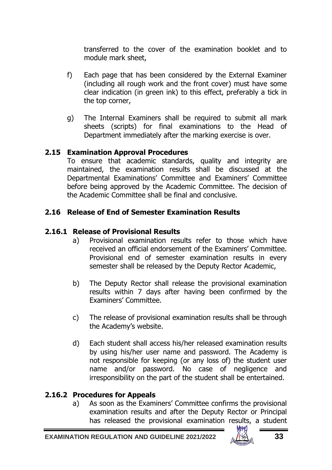transferred to the cover of the examination booklet and to module mark sheet,

- f) Each page that has been considered by the External Examiner (including all rough work and the front cover) must have some clear indication (in green ink) to this effect, preferably a tick in the top corner,
- g) The Internal Examiners shall be required to submit all mark sheets (scripts) for final examinations to the Head of Department immediately after the marking exercise is over.

#### <span id="page-36-0"></span>**2.15 Examination Approval Procedures**

To ensure that academic standards, quality and integrity are maintained, the examination results shall be discussed at the Departmental Examinations' Committee and Examiners' Committee before being approved by the Academic Committee. The decision of the Academic Committee shall be final and conclusive.

#### <span id="page-36-1"></span>**2.16 Release of End of Semester Examination Results**

#### <span id="page-36-2"></span>**2.16.1 Release of Provisional Results**

- a) Provisional examination results refer to those which have received an official endorsement of the Examiners' Committee. Provisional end of semester examination results in every semester shall be released by the Deputy Rector Academic,
- b) The Deputy Rector shall release the provisional examination results within 7 days after having been confirmed by the Examiners' Committee.
- c) The release of provisional examination results shall be through the Academy's website.
- d) Each student shall access his/her released examination results by using his/her user name and password. The Academy is not responsible for keeping (or any loss of) the student user name and/or password. No case of negligence and irresponsibility on the part of the student shall be entertained.

#### <span id="page-36-3"></span>**2.16.2 Procedures for Appeals**

a) As soon as the Examiners' Committee confirms the provisional examination results and after the Deputy Rector or Principal has released the provisional examination results, a student

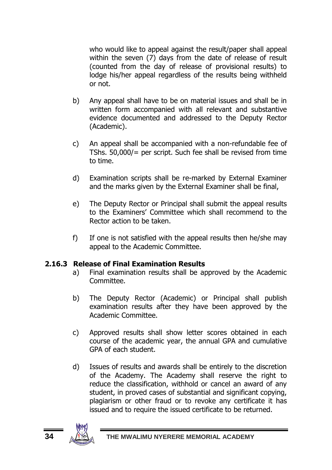who would like to appeal against the result/paper shall appeal within the seven (7) days from the date of release of result (counted from the day of release of provisional results) to lodge his/her appeal regardless of the results being withheld or not.

- b) Any appeal shall have to be on material issues and shall be in written form accompanied with all relevant and substantive evidence documented and addressed to the Deputy Rector (Academic).
- c) An appeal shall be accompanied with a non-refundable fee of TShs. 50,000/= per script. Such fee shall be revised from time to time.
- d) Examination scripts shall be re-marked by External Examiner and the marks given by the External Examiner shall be final,
- e) The Deputy Rector or Principal shall submit the appeal results to the Examiners' Committee which shall recommend to the Rector action to be taken.
- f) If one is not satisfied with the appeal results then he/she may appeal to the Academic Committee.

#### **2.16.3 Release of Final Examination Results**

- <span id="page-37-0"></span>a) Final examination results shall be approved by the Academic Committee.
- b) The Deputy Rector (Academic) or Principal shall publish examination results after they have been approved by the Academic Committee.
- c) Approved results shall show letter scores obtained in each course of the academic year, the annual GPA and cumulative GPA of each student.
- d) Issues of results and awards shall be entirely to the discretion of the Academy. The Academy shall reserve the right to reduce the classification, withhold or cancel an award of any student, in proved cases of substantial and significant copying, plagiarism or other fraud or to revoke any certificate it has issued and to require the issued certificate to be returned.

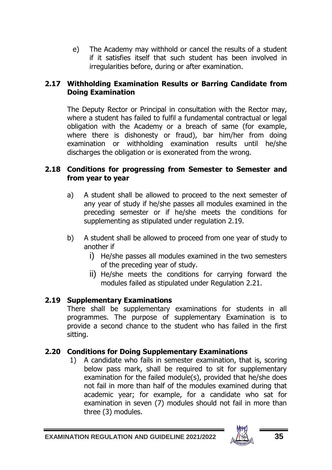e) The Academy may withhold or cancel the results of a student if it satisfies itself that such student has been involved in irregularities before, during or after examination.

#### <span id="page-38-0"></span>**2.17 Withholding Examination Results or Barring Candidate from Doing Examination**

The Deputy Rector or Principal in consultation with the Rector may, where a student has failed to fulfil a fundamental contractual or legal obligation with the Academy or a breach of same (for example, where there is dishonesty or fraud), bar him/her from doing examination or withholding examination results until he/she discharges the obligation or is exonerated from the wrong.

#### <span id="page-38-1"></span>**2.18 Conditions for progressing from Semester to Semester and from year to year**

- a) A student shall be allowed to proceed to the next semester of any year of study if he/she passes all modules examined in the preceding semester or if he/she meets the conditions for supplementing as stipulated under regulation 2.19.
- b) A student shall be allowed to proceed from one year of study to another if
	- i) He/she passes all modules examined in the two semesters of the preceding year of study.
	- ii) He/she meets the conditions for carrying forward the modules failed as stipulated under Regulation 2.21.

# <span id="page-38-2"></span>**2.19 Supplementary Examinations**

There shall be supplementary examinations for students in all programmes. The purpose of supplementary Examination is to provide a second chance to the student who has failed in the first sitting.

# <span id="page-38-3"></span>**2.20 Conditions for Doing Supplementary Examinations**

1) A candidate who fails in semester examination, that is, scoring below pass mark, shall be required to sit for supplementary examination for the failed module(s), provided that he/she does not fail in more than half of the modules examined during that academic year; for example, for a candidate who sat for examination in seven (7) modules should not fail in more than three (3) modules.

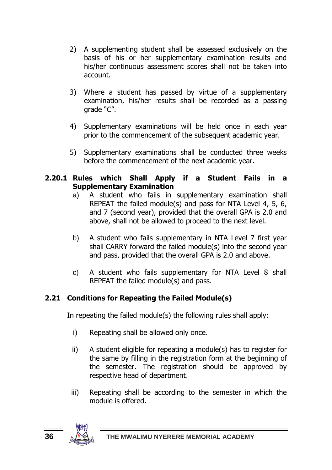- 2) A supplementing student shall be assessed exclusively on the basis of his or her supplementary examination results and his/her continuous assessment scores shall not be taken into account.
- 3) Where a student has passed by virtue of a supplementary examination, his/her results shall be recorded as a passing grade "C".
- 4) Supplementary examinations will be held once in each year prior to the commencement of the subsequent academic year.
- 5) Supplementary examinations shall be conducted three weeks before the commencement of the next academic year.

#### <span id="page-39-0"></span>**2.20.1 Rules which Shall Apply if a Student Fails in a Supplementary Examination**

- a) A student who fails in supplementary examination shall REPEAT the failed module(s) and pass for NTA Level 4, 5, 6, and 7 (second year), provided that the overall GPA is 2.0 and above, shall not be allowed to proceed to the next level.
- b) A student who fails supplementary in NTA Level 7 first year shall CARRY forward the failed module(s) into the second year and pass, provided that the overall GPA is 2.0 and above.
- c) A student who fails supplementary for NTA Level 8 shall REPEAT the failed module(s) and pass.

# <span id="page-39-1"></span>**2.21 Conditions for Repeating the Failed Module(s)**

In repeating the failed module(s) the following rules shall apply:

- i) Repeating shall be allowed only once.
- ii) A student eligible for repeating a module(s) has to register for the same by filling in the registration form at the beginning of the semester. The registration should be approved by respective head of department.
- iii) Repeating shall be according to the semester in which the module is offered.

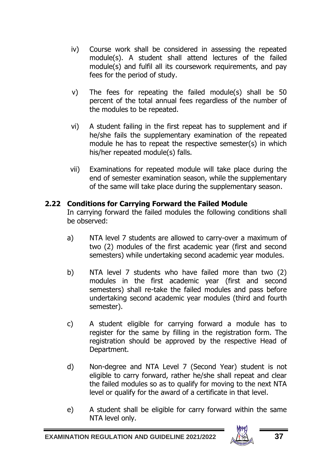- iv) Course work shall be considered in assessing the repeated module(s). A student shall attend lectures of the failed module(s) and fulfil all its coursework requirements, and pay fees for the period of study.
- v) The fees for repeating the failed module(s) shall be 50 percent of the total annual fees regardless of the number of the modules to be repeated.
- vi) A student failing in the first repeat has to supplement and if he/she fails the supplementary examination of the repeated module he has to repeat the respective semester(s) in which his/her repeated module(s) falls.
- vii) Examinations for repeated module will take place during the end of semester examination season, while the supplementary of the same will take place during the supplementary season.

### <span id="page-40-0"></span>**2.22 Conditions for Carrying Forward the Failed Module**

In carrying forward the failed modules the following conditions shall be observed:

- a) NTA level 7 students are allowed to carry-over a maximum of two (2) modules of the first academic year (first and second semesters) while undertaking second academic year modules.
- b) NTA level 7 students who have failed more than two (2) modules in the first academic year (first and second semesters) shall re-take the failed modules and pass before undertaking second academic year modules (third and fourth semester).
- c) A student eligible for carrying forward a module has to register for the same by filling in the registration form. The registration should be approved by the respective Head of Department.
- d) Non-degree and NTA Level 7 (Second Year) student is not eligible to carry forward, rather he/she shall repeat and clear the failed modules so as to qualify for moving to the next NTA level or qualify for the award of a certificate in that level.
- e) A student shall be eligible for carry forward within the same NTA level only.

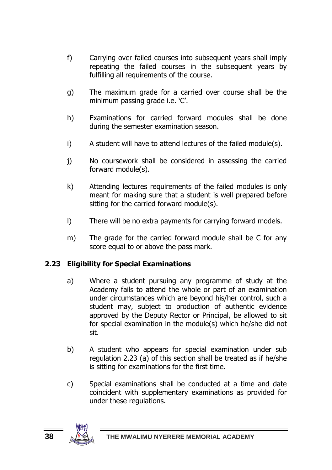- f) Carrying over failed courses into subsequent years shall imply repeating the failed courses in the subsequent years by fulfilling all requirements of the course.
- g) The maximum grade for a carried over course shall be the minimum passing grade i.e. 'C'.
- h) Examinations for carried forward modules shall be done during the semester examination season.
- i) A student will have to attend lectures of the failed module(s).
- j) No coursework shall be considered in assessing the carried forward module(s).
- k) Attending lectures requirements of the failed modules is only meant for making sure that a student is well prepared before sitting for the carried forward module(s).
- l) There will be no extra payments for carrying forward models.
- m) The grade for the carried forward module shall be C for any score equal to or above the pass mark.

# <span id="page-41-0"></span>**2.23 Eligibility for Special Examinations**

- a) Where a student pursuing any programme of study at the Academy fails to attend the whole or part of an examination under circumstances which are beyond his/her control, such a student may, subject to production of authentic evidence approved by the Deputy Rector or Principal, be allowed to sit for special examination in the module(s) which he/she did not sit.
- b) A student who appears for special examination under sub regulation 2.23 (a) of this section shall be treated as if he/she is sitting for examinations for the first time.
- c) Special examinations shall be conducted at a time and date coincident with supplementary examinations as provided for under these regulations.

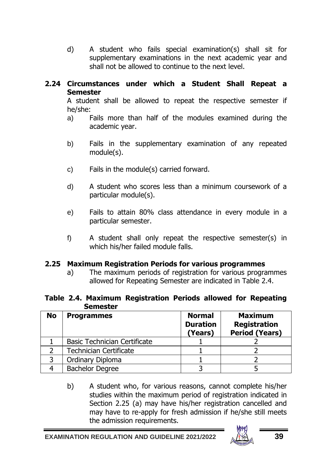d) A student who fails special examination(s) shall sit for supplementary examinations in the next academic year and shall not be allowed to continue to the next level.

#### <span id="page-42-0"></span>**2.24 Circumstances under which a Student Shall Repeat a Semester**

A student shall be allowed to repeat the respective semester if he/she:

- a) Fails more than half of the modules examined during the academic year.
- b) Fails in the supplementary examination of any repeated module(s).
- c) Fails in the module(s) carried forward.
- d) A student who scores less than a minimum coursework of a particular module(s).
- e) Fails to attain 80% class attendance in every module in a particular semester.
- f) A student shall only repeat the respective semester(s) in which his/her failed module falls.

#### <span id="page-42-1"></span>**2.25 Maximum Registration Periods for various programmes**

a) The maximum periods of registration for various programmes allowed for Repeating Semester are indicated in Table 2.4.

#### **Table 2.4. Maximum Registration Periods allowed for Repeating Semester**

| No | <b>Programmes</b>            | <b>Normal</b><br><b>Duration</b><br>(Years) | <b>Maximum</b><br>Registration<br><b>Period (Years)</b> |
|----|------------------------------|---------------------------------------------|---------------------------------------------------------|
|    | Basic Technician Certificate |                                             |                                                         |
|    | Technician Certificate       |                                             |                                                         |
|    | Ordinary Diploma             |                                             |                                                         |
|    | <b>Bachelor Degree</b>       |                                             |                                                         |

b) A student who, for various reasons, cannot complete his/her studies within the maximum period of registration indicated in Section 2.25 (a) may have his/her registration cancelled and may have to re-apply for fresh admission if he/she still meets the admission requirements.

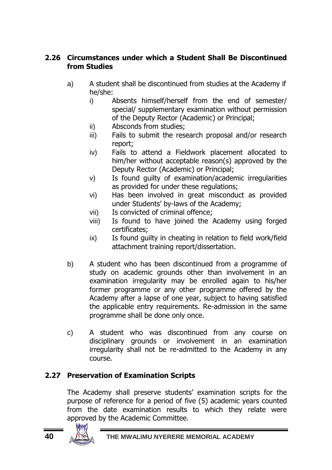# <span id="page-43-0"></span>**2.26 Circumstances under which a Student Shall Be Discontinued from Studies**

- a) A student shall be discontinued from studies at the Academy if he/she:
	- i) Absents himself/herself from the end of semester/ special/ supplementary examination without permission of the Deputy Rector (Academic) or Principal;
	- ii) Absconds from studies;
	- iii) Fails to submit the research proposal and/or research report;
	- iv) Fails to attend a Fieldwork placement allocated to him/her without acceptable reason(s) approved by the Deputy Rector (Academic) or Principal;
	- v) Is found guilty of examination/academic irregularities as provided for under these regulations;
	- vi) Has been involved in great misconduct as provided under Students' by-laws of the Academy;
	- vii) Is convicted of criminal offence;
	- viii) Is found to have joined the Academy using forged certificates;
	- ix) Is found guilty in cheating in relation to field work/field attachment training report/dissertation.
- b) A student who has been discontinued from a programme of study on academic grounds other than involvement in an examination irregularity may be enrolled again to his/her former programme or any other programme offered by the Academy after a lapse of one year, subject to having satisfied the applicable entry requirements. Re-admission in the same programme shall be done only once.
- c) A student who was discontinued from any course on disciplinary grounds or involvement in an examination irregularity shall not be re-admitted to the Academy in any course.

# <span id="page-43-1"></span>**2.27 Preservation of Examination Scripts**

The Academy shall preserve students' examination scripts for the purpose of reference for a period of five (5) academic years counted from the date examination results to which they relate were approved by the Academic Committee.

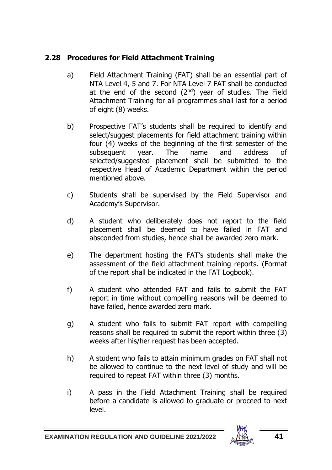# <span id="page-44-0"></span>**2.28 Procedures for Field Attachment Training**

- a) Field Attachment Training (FAT) shall be an essential part of NTA Level 4, 5 and 7. For NTA Level 7 FAT shall be conducted at the end of the second  $(2^{nd})$  year of studies. The Field Attachment Training for all programmes shall last for a period of eight (8) weeks.
- b) Prospective FAT's students shall be required to identify and select/suggest placements for field attachment training within four (4) weeks of the beginning of the first semester of the subsequent year. The name and address of selected/suggested placement shall be submitted to the respective Head of Academic Department within the period mentioned above.
- c) Students shall be supervised by the Field Supervisor and Academy's Supervisor.
- d) A student who deliberately does not report to the field placement shall be deemed to have failed in FAT and absconded from studies, hence shall be awarded zero mark.
- e) The department hosting the FAT's students shall make the assessment of the field attachment training reports. (Format of the report shall be indicated in the FAT Logbook).
- f) A student who attended FAT and fails to submit the FAT report in time without compelling reasons will be deemed to have failed, hence awarded zero mark.
- g) A student who fails to submit FAT report with compelling reasons shall be required to submit the report within three (3) weeks after his/her request has been accepted.
- h) A student who fails to attain minimum grades on FAT shall not be allowed to continue to the next level of study and will be required to repeat FAT within three (3) months.
- i) A pass in the Field Attachment Training shall be required before a candidate is allowed to graduate or proceed to next level.

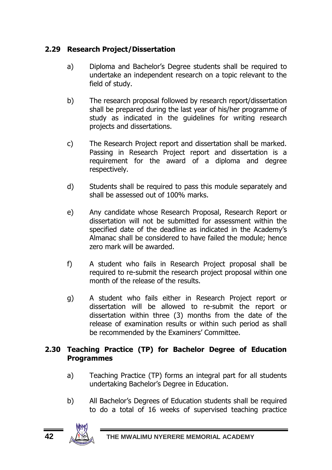# <span id="page-45-0"></span>**2.29 Research Project/Dissertation**

- a) Diploma and Bachelor's Degree students shall be required to undertake an independent research on a topic relevant to the field of study.
- b) The research proposal followed by research report/dissertation shall be prepared during the last year of his/her programme of study as indicated in the guidelines for writing research projects and dissertations.
- c) The Research Project report and dissertation shall be marked. Passing in Research Project report and dissertation is a requirement for the award of a diploma and degree respectively.
- d) Students shall be required to pass this module separately and shall be assessed out of 100% marks.
- e) Any candidate whose Research Proposal, Research Report or dissertation will not be submitted for assessment within the specified date of the deadline as indicated in the Academy's Almanac shall be considered to have failed the module; hence zero mark will be awarded.
- f) A student who fails in Research Project proposal shall be required to re-submit the research project proposal within one month of the release of the results.
- g) A student who fails either in Research Project report or dissertation will be allowed to re-submit the report or dissertation within three (3) months from the date of the release of examination results or within such period as shall be recommended by the Examiners' Committee.

### <span id="page-45-1"></span>**2.30 Teaching Practice (TP) for Bachelor Degree of Education Programmes**

- a) Teaching Practice (TP) forms an integral part for all students undertaking Bachelor's Degree in Education.
- b) All Bachelor's Degrees of Education students shall be required to do a total of 16 weeks of supervised teaching practice

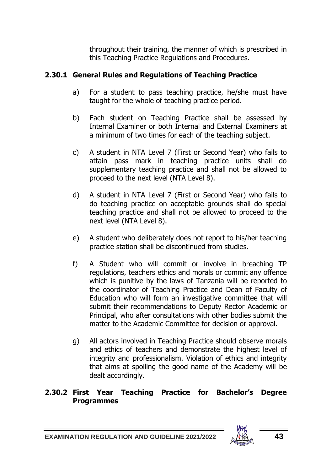throughout their training, the manner of which is prescribed in this Teaching Practice Regulations and Procedures.

### <span id="page-46-0"></span>**2.30.1 General Rules and Regulations of Teaching Practice**

- a) For a student to pass teaching practice, he/she must have taught for the whole of teaching practice period.
- b) Each student on Teaching Practice shall be assessed by Internal Examiner or both Internal and External Examiners at a minimum of two times for each of the teaching subject.
- c) A student in NTA Level 7 (First or Second Year) who fails to attain pass mark in teaching practice units shall do supplementary teaching practice and shall not be allowed to proceed to the next level (NTA Level 8).
- d) A student in NTA Level 7 (First or Second Year) who fails to do teaching practice on acceptable grounds shall do special teaching practice and shall not be allowed to proceed to the next level (NTA Level 8).
- e) A student who deliberately does not report to his/her teaching practice station shall be discontinued from studies.
- f) A Student who will commit or involve in breaching TP regulations, teachers ethics and morals or commit any offence which is punitive by the laws of Tanzania will be reported to the coordinator of Teaching Practice and Dean of Faculty of Education who will form an investigative committee that will submit their recommendations to Deputy Rector Academic or Principal, who after consultations with other bodies submit the matter to the Academic Committee for decision or approval.
- g) All actors involved in Teaching Practice should observe morals and ethics of teachers and demonstrate the highest level of integrity and professionalism. Violation of ethics and integrity that aims at spoiling the good name of the Academy will be dealt accordingly.

#### <span id="page-46-1"></span>**2.30.2 First Year Teaching Practice for Bachelor's Degree Programmes**

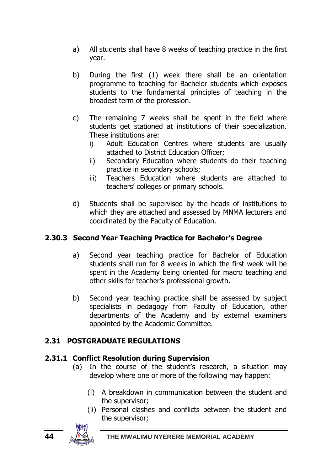- a) All students shall have 8 weeks of teaching practice in the first year.
- b) During the first (1) week there shall be an orientation programme to teaching for Bachelor students which exposes students to the fundamental principles of teaching in the broadest term of the profession.
- c) The remaining 7 weeks shall be spent in the field where students get stationed at institutions of their specialization. These institutions are:
	- i) Adult Education Centres where students are usually attached to District Education Officer;
	- ii) Secondary Education where students do their teaching practice in secondary schools;
	- iii) Teachers Education where students are attached to teachers' colleges or primary schools.
- d) Students shall be supervised by the heads of institutions to which they are attached and assessed by MNMA lecturers and coordinated by the Faculty of Education.

# **2.30.3 Second Year Teaching Practice for Bachelor's Degree**

- <span id="page-47-0"></span>a) Second year teaching practice for Bachelor of Education students shall run for 8 weeks in which the first week will be spent in the Academy being oriented for macro teaching and other skills for teacher's professional growth.
- b) Second year teaching practice shall be assessed by subject specialists in pedagogy from Faculty of Education, other departments of the Academy and by external examiners appointed by the Academic Committee.

# <span id="page-47-1"></span>**2.31 POSTGRADUATE REGULATIONS**

#### <span id="page-47-2"></span>**2.31.1 Conflict Resolution during Supervision**

- (a) In the course of the student's research, a situation may develop where one or more of the following may happen:
	- (i) A breakdown in communication between the student and the supervisor;
	- (ii) Personal clashes and conflicts between the student and the supervisor;

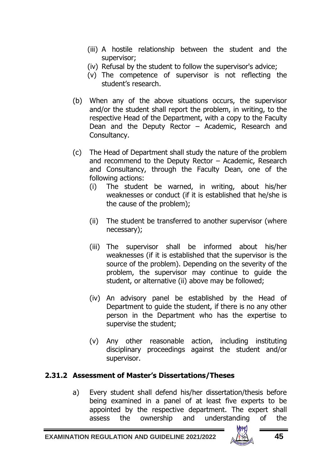- (iii) A hostile relationship between the student and the supervisor;
- (iv) Refusal by the student to follow the supervisor's advice;
- (v) The competence of supervisor is not reflecting the student's research.
- (b) When any of the above situations occurs, the supervisor and/or the student shall report the problem, in writing, to the respective Head of the Department, with a copy to the Faculty Dean and the Deputy Rector – Academic, Research and Consultancy.
- (c) The Head of Department shall study the nature of the problem and recommend to the Deputy Rector – Academic, Research and Consultancy, through the Faculty Dean, one of the following actions:
	- (i) The student be warned, in writing, about his/her weaknesses or conduct (if it is established that he/she is the cause of the problem);
	- (ii) The student be transferred to another supervisor (where necessary);
	- (iii) The supervisor shall be informed about his/her weaknesses (if it is established that the supervisor is the source of the problem). Depending on the severity of the problem, the supervisor may continue to guide the student, or alternative (ii) above may be followed;
	- (iv) An advisory panel be established by the Head of Department to guide the student, if there is no any other person in the Department who has the expertise to supervise the student;
	- (v) Any other reasonable action, including instituting disciplinary proceedings against the student and/or supervisor.

#### <span id="page-48-0"></span>**2.31.2 Assessment of Master's Dissertations/Theses**

a) Every student shall defend his/her dissertation/thesis before being examined in a panel of at least five experts to be appointed by the respective department. The expert shall assess the ownership and understanding of the

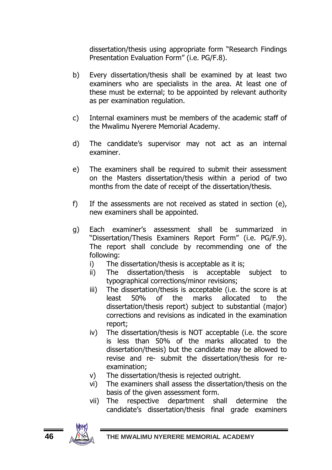dissertation/thesis using appropriate form "Research Findings Presentation Evaluation Form" (i.e. PG/F.8).

- b) Every dissertation/thesis shall be examined by at least two examiners who are specialists in the area. At least one of these must be external; to be appointed by relevant authority as per examination regulation.
- c) Internal examiners must be members of the academic staff of the Mwalimu Nyerere Memorial Academy.
- d) The candidate's supervisor may not act as an internal examiner.
- e) The examiners shall be required to submit their assessment on the Masters dissertation/thesis within a period of two months from the date of receipt of the dissertation/thesis.
- f) If the assessments are not received as stated in section (e), new examiners shall be appointed.
- g) Each examiner's assessment shall be summarized in "Dissertation/Thesis Examiners Report Form" (i.e. PG/F.9). The report shall conclude by recommending one of the following:
	- i) The dissertation/thesis is acceptable as it is;
	- ii) The dissertation/thesis is acceptable subject to typographical corrections/minor revisions;
	- iii) The dissertation/thesis is acceptable (i.e. the score is at least 50% of the marks allocated to the dissertation/thesis report) subject to substantial (major) corrections and revisions as indicated in the examination report;
	- iv) The dissertation/thesis is NOT acceptable (i.e. the score is less than 50% of the marks allocated to the dissertation/thesis) but the candidate may be allowed to revise and re- submit the dissertation/thesis for reexamination;
	- v) The dissertation/thesis is rejected outright.
	- vi) The examiners shall assess the dissertation/thesis on the basis of the given assessment form.
	- vii) The respective department shall determine the candidate's dissertation/thesis final grade examiners

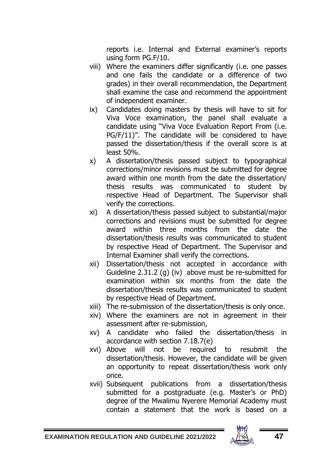reports i.e. Internal and External examiner's reports using form PG.F/10.

- viii) Where the examiners differ significantly (i.e. one passes and one fails the candidate or a difference of two grades) in their overall recommendation, the Department shall examine the case and recommend the appointment of independent examiner.
- ix) Candidates doing masters by thesis will have to sit for Viva Voce examination, the panel shall evaluate a candidate using "Viva Voce Evaluation Report From (i.e. PG/F/11)". The candidate will be considered to have passed the dissertation/thesis if the overall score is at least 50%.
- x) A dissertation/thesis passed subject to typographical corrections/minor revisions must be submitted for degree award within one month from the date the dissertation/ thesis results was communicated to student by respective Head of Department. The Supervisor shall verify the corrections.
- xi) A dissertation/thesis passed subject to substantial/major corrections and revisions must be submitted for degree award within three months from the date the dissertation/thesis results was communicated to student by respective Head of Department. The Supervisor and Internal Examiner shall verify the corrections.
- xii) Dissertation/thesis not accepted in accordance with Guideline 2.31.2 (g) (iv) above must be re-submitted for examination within six months from the date the dissertation/thesis results was communicated to student by respective Head of Department.
- xiii) The re-submission of the dissertation/thesis is only once.
- xiv) Where the examiners are not in agreement in their assessment after re-submission,
- xv) A candidate who failed the dissertation/thesis in accordance with section 7.18.7(e)
- xvi) Above will not be required to resubmit the dissertation/thesis. However, the candidate will be given an opportunity to repeat dissertation/thesis work only once.
- xvii) Subsequent publications from a dissertation/thesis submitted for a postgraduate (e.g. Master's or PhD) degree of the Mwalimu Nyerere Memorial Academy must contain a statement that the work is based on a

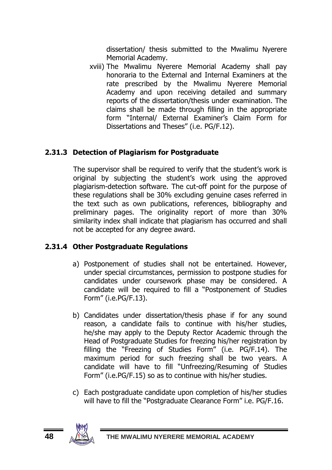dissertation/ thesis submitted to the Mwalimu Nyerere Memorial Academy.

xviii) The Mwalimu Nyerere Memorial Academy shall pay honoraria to the External and Internal Examiners at the rate prescribed by the Mwalimu Nyerere Memorial Academy and upon receiving detailed and summary reports of the dissertation/thesis under examination. The claims shall be made through filling in the appropriate form "Internal/ External Examiner's Claim Form for Dissertations and Theses" (i.e. PG/F.12).

### <span id="page-51-0"></span>**2.31.3 Detection of Plagiarism for Postgraduate**

The supervisor shall be required to verify that the student's work is original by subjecting the student's work using the approved plagiarism-detection software. The cut-off point for the purpose of these regulations shall be 30% excluding genuine cases referred in the text such as own publications, references, bibliography and preliminary pages. The originality report of more than 30% similarity index shall indicate that plagiarism has occurred and shall not be accepted for any degree award.

# <span id="page-51-1"></span>**2.31.4 Other Postgraduate Regulations**

- a) Postponement of studies shall not be entertained. However, under special circumstances, permission to postpone studies for candidates under coursework phase may be considered. A candidate will be required to fill a "Postponement of Studies Form" (i.e.PG/F.13).
- b) Candidates under dissertation/thesis phase if for any sound reason, a candidate fails to continue with his/her studies, he/she may apply to the Deputy Rector Academic through the Head of Postgraduate Studies for freezing his/her registration by filling the "Freezing of Studies Form" (i.e. PG/F.14). The maximum period for such freezing shall be two years. A candidate will have to fill "Unfreezing/Resuming of Studies Form" (i.e.PG/F.15) so as to continue with his/her studies.
- c) Each postgraduate candidate upon completion of his/her studies will have to fill the "Postgraduate Clearance Form" i.e. PG/F.16.

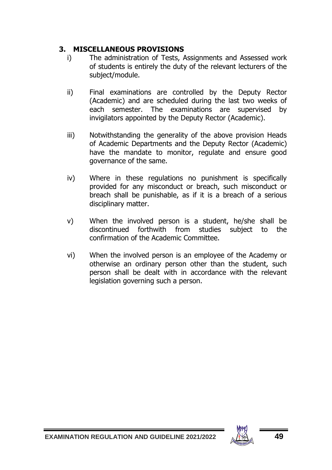# <span id="page-52-0"></span>**3. MISCELLANEOUS PROVISIONS**

- i) The administration of Tests, Assignments and Assessed work of students is entirely the duty of the relevant lecturers of the subject/module.
- ii) Final examinations are controlled by the Deputy Rector (Academic) and are scheduled during the last two weeks of each semester. The examinations are supervised by invigilators appointed by the Deputy Rector (Academic).
- iii) Notwithstanding the generality of the above provision Heads of Academic Departments and the Deputy Rector (Academic) have the mandate to monitor, regulate and ensure good governance of the same.
- iv) Where in these regulations no punishment is specifically provided for any misconduct or breach, such misconduct or breach shall be punishable, as if it is a breach of a serious disciplinary matter.
- v) When the involved person is a student, he/she shall be discontinued forthwith from studies subject to the confirmation of the Academic Committee.
- vi) When the involved person is an employee of the Academy or otherwise an ordinary person other than the student, such person shall be dealt with in accordance with the relevant legislation governing such a person.